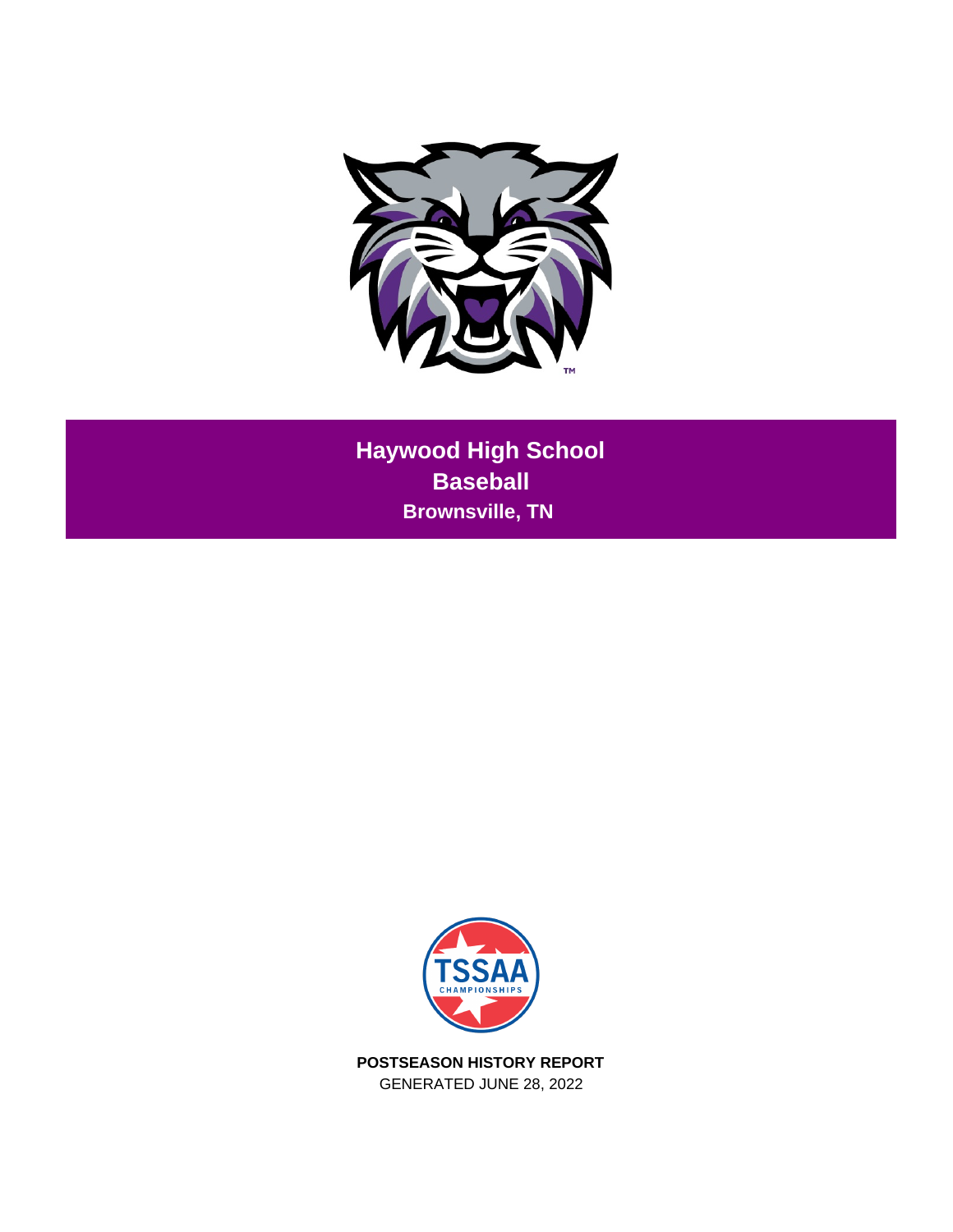

**Haywood High School Baseball Brownsville, TN** 



**POSTSEASON HISTORY REPORT** GENERATED JUNE 28, 2022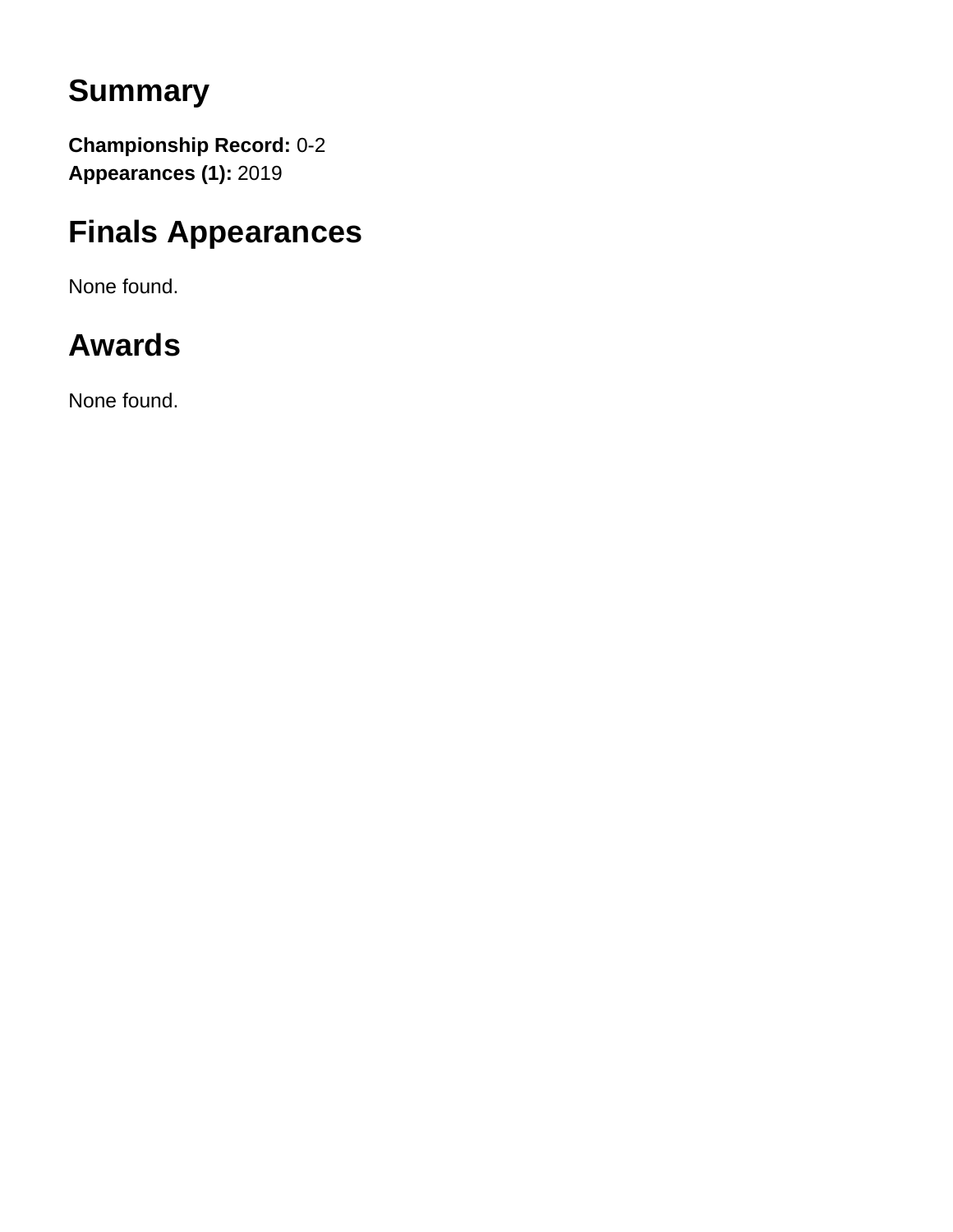## **Summary**

**Championship Record:** 0-2 **Appearances (1):** 2019

## **Finals Appearances**

None found.

# **Awards**

None found.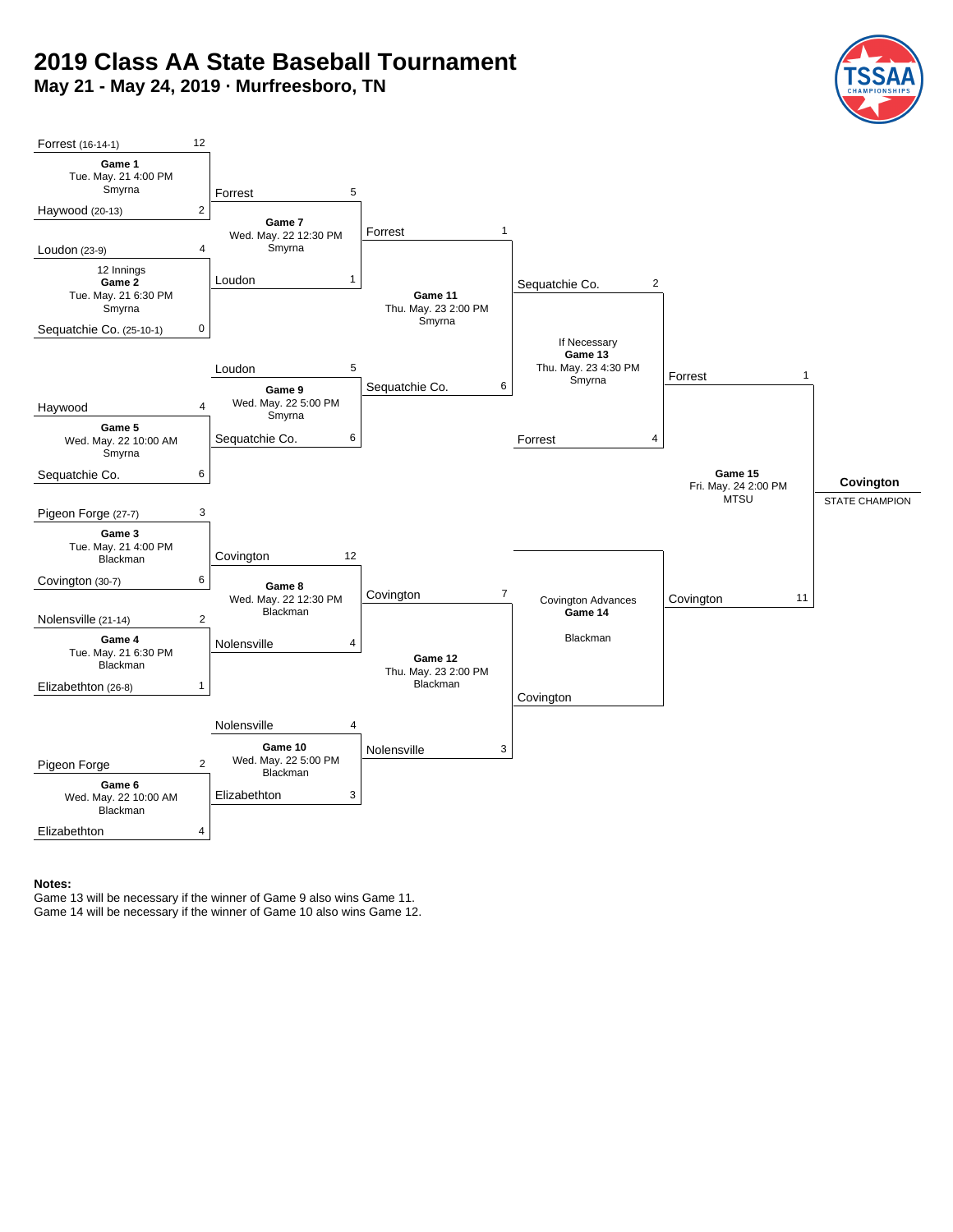## **2019 Class AA State Baseball Tournament**

**May 21 - May 24, 2019 · Murfreesboro, TN**





#### **Notes:**

Game 13 will be necessary if the winner of Game 9 also wins Game 11. Game 14 will be necessary if the winner of Game 10 also wins Game 12.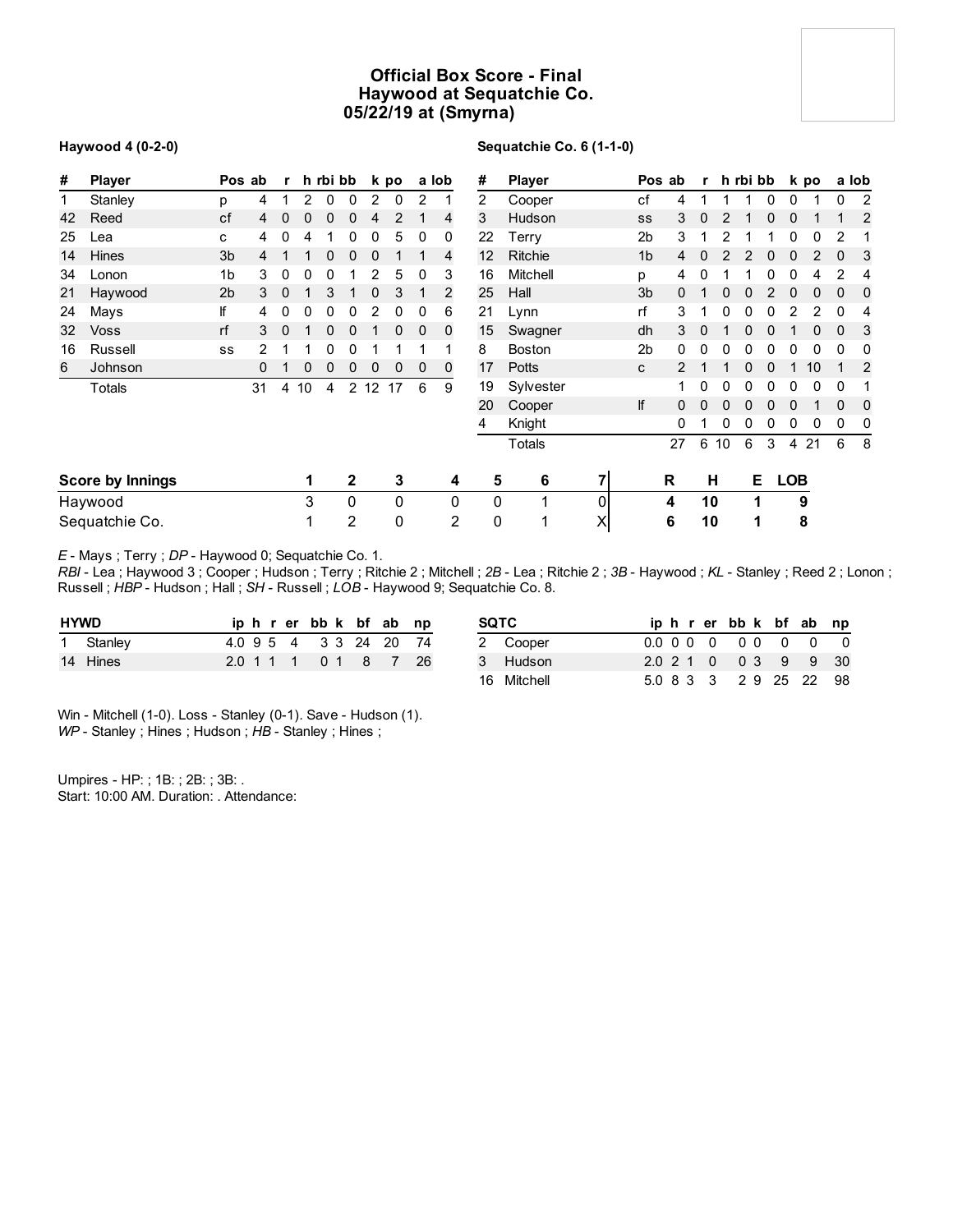## **Official Box Score - Final Haywood at Sequatchie Co. 05/22/19 at (Smyrna)**

#### **Haywood 4 (0-2-0)**

#### **Sequatchie Co. 6 (1-1-0)**

| #  | <b>Player</b>           |                | Pos ab         | r            |    | h rbi bb |                |                 | k po |              | a lob       | #              | <b>Player</b> |          |                | Pos ab | r           |    | h rbi bb |   |            | k po |          | a lob |
|----|-------------------------|----------------|----------------|--------------|----|----------|----------------|-----------------|------|--------------|-------------|----------------|---------------|----------|----------------|--------|-------------|----|----------|---|------------|------|----------|-------|
| 1  | Stanley                 | p              | 4              | 1            | 2  | 0        | 0              | 2               | 0    | 2            |             | $\overline{2}$ | Cooper        |          | сf             | 4      |             |    |          | 0 | 0          |      | 0        | 2     |
| 42 | Reed                    | cf             | $\overline{4}$ | $\mathbf{0}$ | 0  | 0        | 0              | 4               | 2    |              | 4           | 3              | Hudson        |          | SS             | 3      | $\mathbf 0$ | 2  |          | 0 | 0          |      |          | 2     |
| 25 | Lea                     | с              | 4              | 0            | 4  |          | 0              | 0               | 5    | 0            | 0           | 22             | Terry         |          | 2b             | 3      |             |    |          |   | 0          | 0    | 2        |       |
| 14 | <b>Hines</b>            | 3 <sub>b</sub> | 4              |              | 1  | 0        | 0              | 0               |      |              | 4           | 12             | Ritchie       |          | 1 <sub>b</sub> | 4      | 0           |    |          | 0 | 0          | 2    | 0        | 3     |
| 34 | Lonon                   | 1b             | 3              | 0            | 0  | 0        |                |                 | 5    | 0            | 3           | 16             | Mitchell      |          | р              | 4      |             |    |          |   |            | 4    | 2        | 4     |
| 21 | Haywood                 | 2 <sub>b</sub> | 3              | $\mathbf{0}$ |    | 3        |                | 0               | 3    |              | 2           | 25             | Hall          |          | 3 <sub>b</sub> | 0      |             |    |          |   |            | 0    | $\Omega$ | 0     |
| 24 | Mays                    | lf             | 4              | 0            | 0  | 0        | 0              | 2               | 0    | 0            | 6           | 21             | Lynn          |          | rf             | 3      |             |    |          |   |            | 2    | 0        | 4     |
| 32 | <b>Voss</b>             | rf             | 3              | $\mathbf{0}$ |    | 0        | 0              |                 | 0    | 0            | $\mathbf 0$ | 15             | Swagner       |          | dh             | 3      | $\Omega$    |    |          | 0 |            | 0    | 0        | 3     |
| 16 | Russell                 | SS             | 2              |              |    | 0        | 0              |                 |      |              |             | 8              | <b>Boston</b> |          | 2b             | 0      | 0           | 0  | 0        | 0 | 0          | 0    | 0        | 0     |
| 6  | Johnson                 |                | 0              |              | 0  | 0        | 0              | 0               | 0    | $\mathbf{0}$ | $\mathbf 0$ | 17             | Potts         |          | C              | 2      |             |    | 0        | 0 |            | 10   |          | 2     |
|    | Totals                  |                | 31             | 4            | 10 | 4        | $\overline{2}$ | 12 <sup>2</sup> | 17   | 6            | 9           | 19             | Sylvester     |          |                |        | 0           | 0  | 0        | 0 | 0          | 0    | 0        |       |
|    |                         |                |                |              |    |          |                |                 |      |              |             | 20             | Cooper        |          | lf             | 0      | 0           |    |          | n | 0          |      | $\Omega$ | 0     |
|    |                         |                |                |              |    |          |                |                 |      |              |             | 4              | Knight        |          |                | 0      |             | 0  |          |   | 0          | 0    | 0        | 0     |
|    |                         |                |                |              |    |          |                |                 |      |              |             |                | Totals        |          |                | 27     | 6           | 10 | 6        | 3 | 4          | 21   | 6        | 8     |
|    | <b>Score by Innings</b> |                |                |              | 1  |          | 2              |                 | 3    |              | 4           | 5              | 6             | 71       |                | R      | н           |    | Е        |   | <b>LOB</b> |      |          |       |
|    | Haywood                 |                |                |              | 3  |          | 0              |                 | 0    |              | 0           | $\Omega$       | 4             | 01       |                | 4      | 10          |    | 1        |   | 9          |      |          |       |
|    | Sequatchie Co.          |                |                |              |    |          | 2              |                 | 0    |              | 2           | 0              | 1             | $\times$ |                | 6      | 10          |    | 1        |   |            | 8    |          |       |

*E* - Mays ; Terry ; *DP* - Haywood 0; Sequatchie Co. 1.

*RBI* - Lea ; Haywood 3 ; Cooper ; Hudson ; Terry ; Ritchie 2 ; Mitchell ; *2B* - Lea ; Ritchie 2 ; *3B* - Haywood ; *KL* - Stanley ; Reed 2 ; Lonon ; Russell ; *HBP* - Hudson ; Hall ; *SH* - Russell ; *LOB* - Haywood 9; Sequatchie Co. 8.

| <b>HYWD</b> |           |  |  |  | iphrerbbk bfab np      |  |
|-------------|-----------|--|--|--|------------------------|--|
|             | 1 Stanley |  |  |  | 4.0 9 5 4 3 3 24 20 74 |  |
|             | 14 Hines  |  |  |  | 2.0 1 1 1 0 1 8 7 26   |  |

| SQTC        |  |  |  | iphrerbbk bfab np      |  |
|-------------|--|--|--|------------------------|--|
| 2 Cooper    |  |  |  |                        |  |
| 3 Hudson    |  |  |  | 2.0 2 1 0 0 3 9 9 30   |  |
| 16 Mitchell |  |  |  | 5.0 8 3 3 2 9 25 22 98 |  |

Win - Mitchell (1-0). Loss - Stanley (0-1). Save - Hudson (1). *WP* - Stanley ; Hines ; Hudson ; *HB* - Stanley ; Hines ;

Umpires - HP: ; 1B: ; 2B: ; 3B: . Start: 10:00 AM. Duration: . Attendance: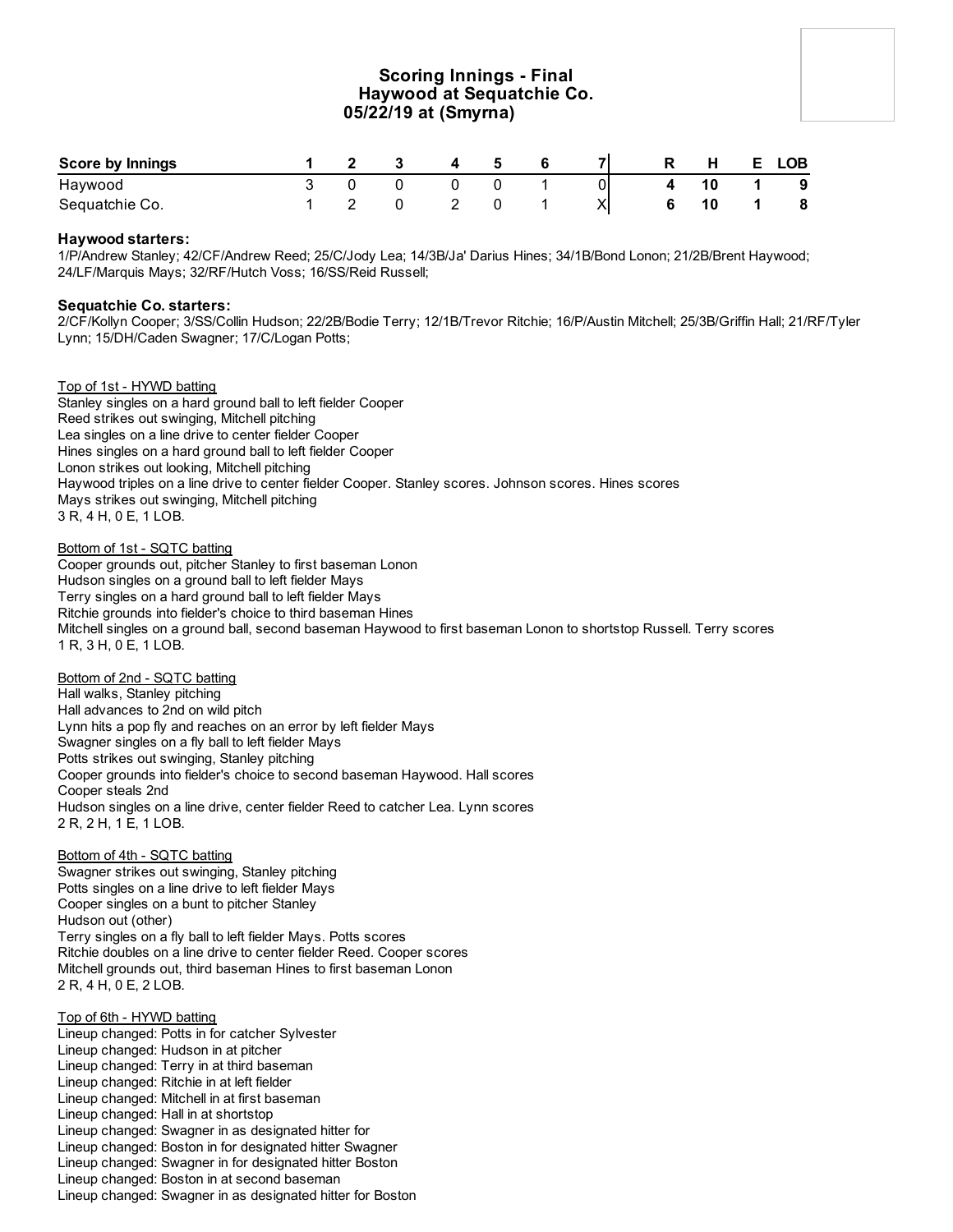## **Scoring Innings - Final Haywood at Sequatchie Co. 05/22/19 at (Smyrna)**

| <b>Score by Innings</b> |  |  | - Б |    | R | H | E. | <b>LOB</b> |
|-------------------------|--|--|-----|----|---|---|----|------------|
| Haywood                 |  |  |     | υι |   |   |    | - 9        |
| Sequatchie Co.          |  |  |     |    |   |   |    | 8          |

#### **Haywood starters:**

1/P/Andrew Stanley; 42/CF/Andrew Reed; 25/C/Jody Lea; 14/3B/Ja' Darius Hines; 34/1B/Bond Lonon; 21/2B/Brent Haywood; 24/LF/Marquis Mays; 32/RF/Hutch Voss; 16/SS/Reid Russell;

#### **Sequatchie Co. starters:**

2/CF/Kollyn Cooper; 3/SS/Collin Hudson; 22/2B/Bodie Terry; 12/1B/Trevor Ritchie; 16/P/Austin Mitchell; 25/3B/Griffin Hall; 21/RF/Tyler Lynn; 15/DH/Caden Swagner; 17/C/Logan Potts;

#### Top of 1st - HYWD batting

Stanley singles on a hard ground ball to left fielder Cooper Reed strikes out swinging, Mitchell pitching Lea singles on a line drive to center fielder Cooper Hines singles on a hard ground ball to left fielder Cooper Lonon strikes out looking, Mitchell pitching Haywood triples on a line drive to center fielder Cooper. Stanley scores. Johnson scores. Hines scores Mays strikes out swinging, Mitchell pitching 3 R, 4 H, 0 E, 1 LOB.

#### Bottom of 1st - SQTC batting

Cooper grounds out, pitcher Stanley to first baseman Lonon Hudson singles on a ground ball to left fielder Mays Terry singles on a hard ground ball to left fielder Mays Ritchie grounds into fielder's choice to third baseman Hines Mitchell singles on a ground ball, second baseman Haywood to first baseman Lonon to shortstop Russell. Terry scores 1 R, 3 H, 0 E, 1 LOB.

#### Bottom of 2nd - SQTC batting

Hall walks, Stanley pitching Hall advances to 2nd on wild pitch Lynn hits a pop fly and reaches on an error by left fielder Mays Swagner singles on a fly ball to left fielder Mays Potts strikes out swinging, Stanley pitching Cooper grounds into fielder's choice to second baseman Haywood. Hall scores Cooper steals 2nd Hudson singles on a line drive, center fielder Reed to catcher Lea. Lynn scores 2 R, 2 H, 1 E, 1 LOB.

#### Bottom of 4th - SQTC batting

Swagner strikes out swinging, Stanley pitching Potts singles on a line drive to left fielder Mays Cooper singles on a bunt to pitcher Stanley Hudson out (other) Terry singles on a fly ball to left fielder Mays. Potts scores Ritchie doubles on a line drive to center fielder Reed. Cooper scores Mitchell grounds out, third baseman Hines to first baseman Lonon 2 R, 4 H, 0 E, 2 LOB.

#### Top of 6th - HYWD batting

Lineup changed: Potts in for catcher Sylvester Lineup changed: Hudson in at pitcher Lineup changed: Terry in at third baseman Lineup changed: Ritchie in at left fielder Lineup changed: Mitchell in at first baseman Lineup changed: Hall in at shortstop Lineup changed: Swagner in as designated hitter for Lineup changed: Boston in for designated hitter Swagner Lineup changed: Swagner in for designated hitter Boston Lineup changed: Boston in at second baseman Lineup changed: Swagner in as designated hitter for Boston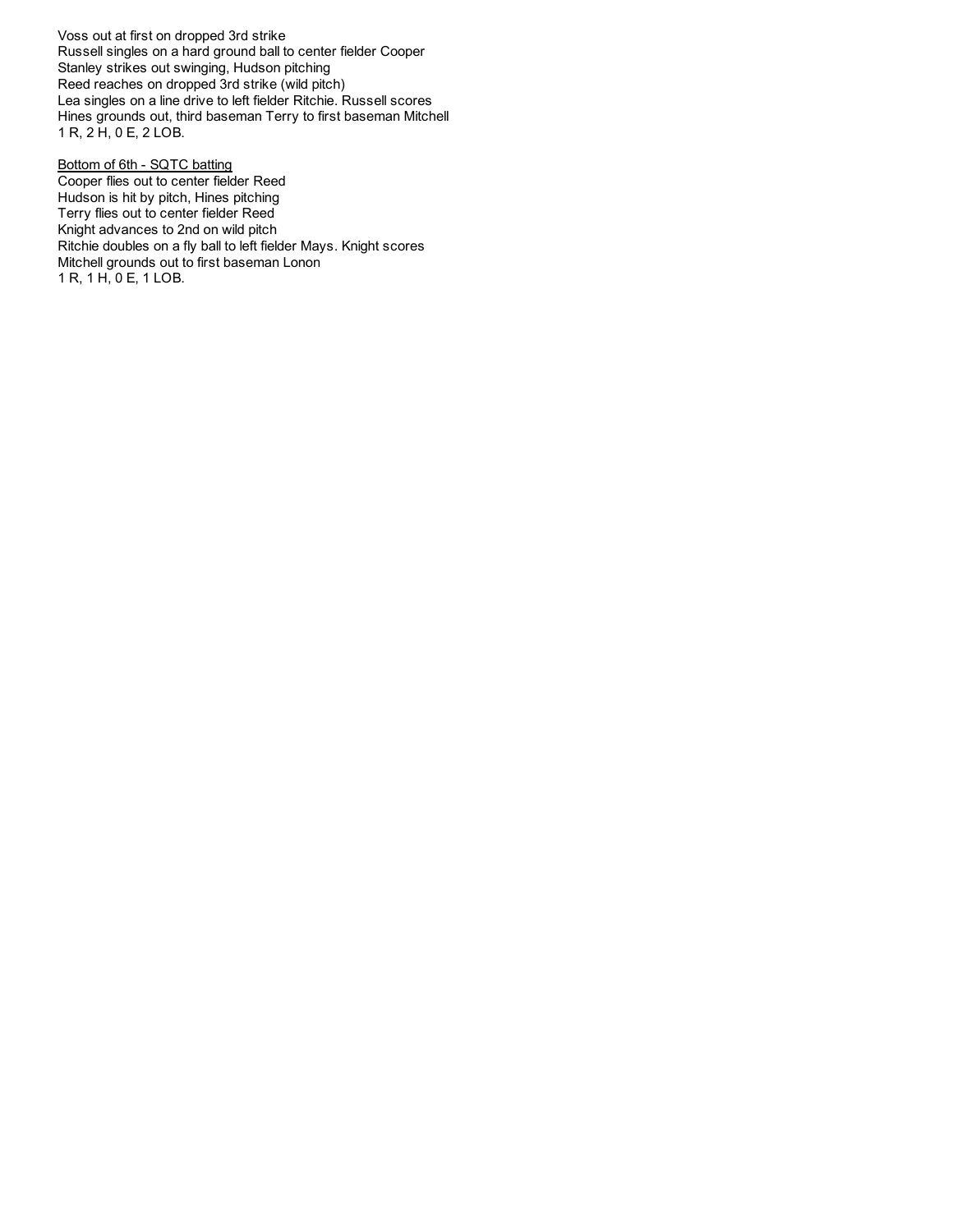Voss out at first on dropped 3rd strike Russell singles on a hard ground ball to center fielder Cooper Stanley strikes out swinging, Hudson pitching Reed reaches on dropped 3rd strike (wild pitch) Lea singles on a line drive to left fielder Ritchie. Russell scores Hines grounds out, third baseman Terry to first baseman Mitchell 1 R, 2 H, 0 E, 2 LOB.

Bottom of 6th - SQTC batting Cooper flies out to center fielder Reed Hudson is hit by pitch, Hines pitching Terry flies out to center fielder Reed Knight advances to 2nd on wild pitch Ritchie doubles on a fly ball to left fielder Mays. Knight scores Mitchell grounds out to first baseman Lonon 1 R, 1 H, 0 E, 1 LOB.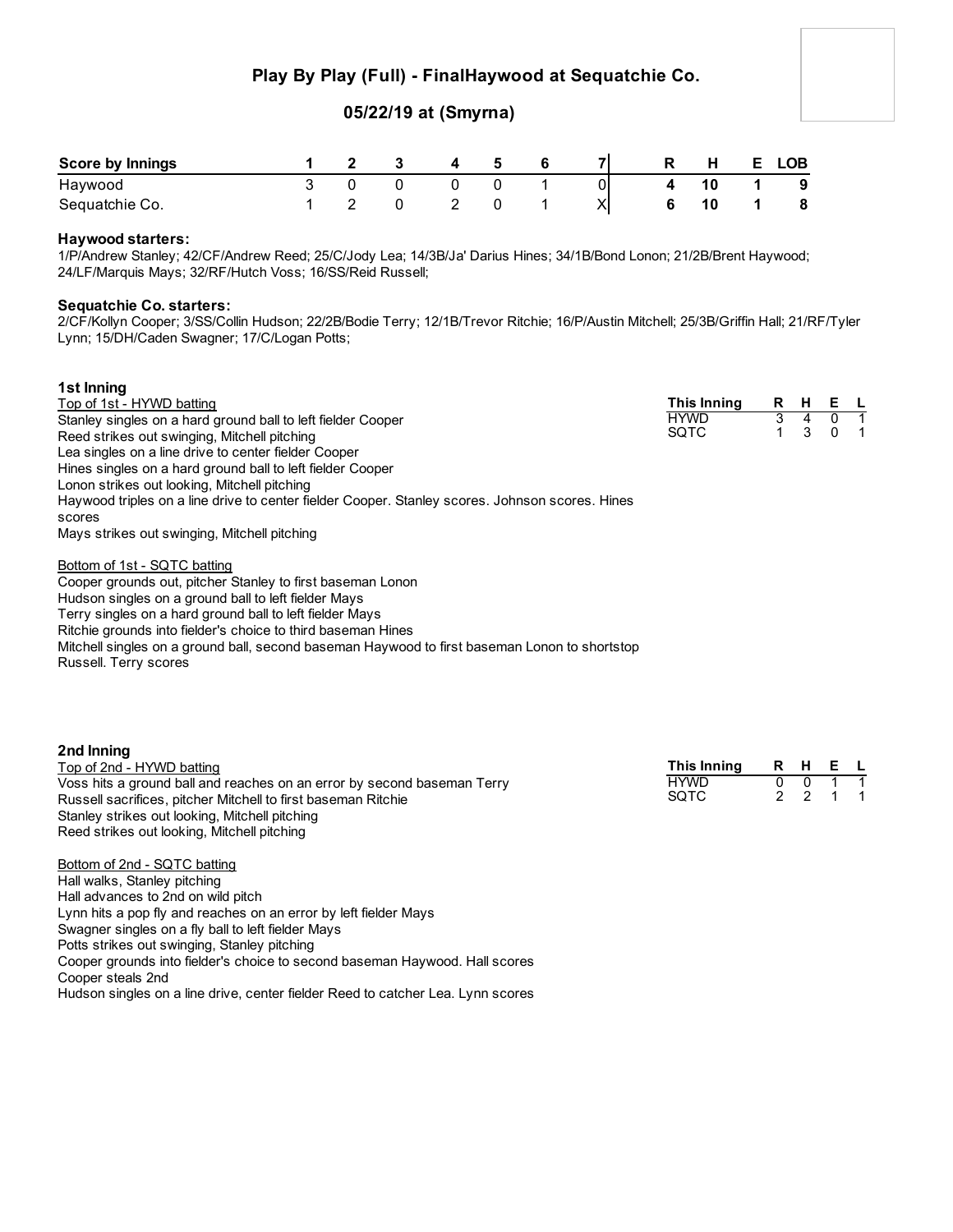## **Play By Play (Full) - FinalHaywood at Sequatchie Co.**

### **05/22/19 at (Smyrna)**

| <b>Score by Innings</b> |  |  |  |    | R | <b>H</b> | <b>LOB</b> |
|-------------------------|--|--|--|----|---|----------|------------|
| Haywood                 |  |  |  | οι |   |          | - 9        |
| Sequatchie Co.          |  |  |  |    |   |          | 8          |

#### **Haywood starters:**

1/P/Andrew Stanley; 42/CF/Andrew Reed; 25/C/Jody Lea; 14/3B/Ja' Darius Hines; 34/1B/Bond Lonon; 21/2B/Brent Haywood; 24/LF/Marquis Mays; 32/RF/Hutch Voss; 16/SS/Reid Russell;

#### **Sequatchie Co. starters:**

2/CF/Kollyn Cooper; 3/SS/Collin Hudson; 22/2B/Bodie Terry; 12/1B/Trevor Ritchie; 16/P/Austin Mitchell; 25/3B/Griffin Hall; 21/RF/Tyler Lynn; 15/DH/Caden Swagner; 17/C/Logan Potts;

| 1st Inning                                                                                      |             |    |   |          |     |
|-------------------------------------------------------------------------------------------------|-------------|----|---|----------|-----|
| Top of 1st - HYWD batting                                                                       | This Inning | R. | н | E L      |     |
| Stanley singles on a hard ground ball to left fielder Cooper                                    | <b>HYWD</b> | 3  | 4 |          |     |
| Reed strikes out swinging, Mitchell pitching                                                    | <b>SQTC</b> |    | 3 | $\Omega$ | - 1 |
| Lea singles on a line drive to center fielder Cooper                                            |             |    |   |          |     |
| Hines singles on a hard ground ball to left fielder Cooper                                      |             |    |   |          |     |
| Lonon strikes out looking, Mitchell pitching                                                    |             |    |   |          |     |
| Haywood triples on a line drive to center fielder Cooper. Stanley scores. Johnson scores. Hines |             |    |   |          |     |
| scores                                                                                          |             |    |   |          |     |
| Mays strikes out swinging, Mitchell pitching                                                    |             |    |   |          |     |
| Bottom of 1st - SQTC batting                                                                    |             |    |   |          |     |
| Cooper grounds out, pitcher Stanley to first baseman Lonon                                      |             |    |   |          |     |
| Hudson singles on a ground ball to left fielder Mays                                            |             |    |   |          |     |
| Terry singles on a hard ground ball to left fielder Mays                                        |             |    |   |          |     |
| Ritchie grounds into fielder's choice to third baseman Hines                                    |             |    |   |          |     |

Mitchell singles on a ground ball, second baseman Haywood to first baseman Lonon to shortstop

Russell. Terry scores

| 2nd Inning                                                              |             |                |         |  |
|-------------------------------------------------------------------------|-------------|----------------|---------|--|
| Top of 2nd - HYWD batting                                               | This Inning |                | R H E L |  |
| Voss hits a ground ball and reaches on an error by second baseman Terry | <b>HYWD</b> |                |         |  |
| Russell sacrifices, pitcher Mitchell to first baseman Ritchie           | SOTC        | 2 <sub>2</sub> |         |  |
| Stanley strikes out looking, Mitchell pitching                          |             |                |         |  |
| Reed strikes out looking, Mitchell pitching                             |             |                |         |  |
| Bottom of 2nd - SOTC hatting                                            |             |                |         |  |

<u>Sottom of 2nd - SQTC batting</u> Hall walks, Stanley pitching Hall advances to 2nd on wild pitch Lynn hits a pop fly and reaches on an error by left fielder Mays Swagner singles on a fly ball to left fielder Mays Potts strikes out swinging, Stanley pitching Cooper grounds into fielder's choice to second baseman Haywood. Hall scores Cooper steals 2nd Hudson singles on a line drive, center fielder Reed to catcher Lea. Lynn scores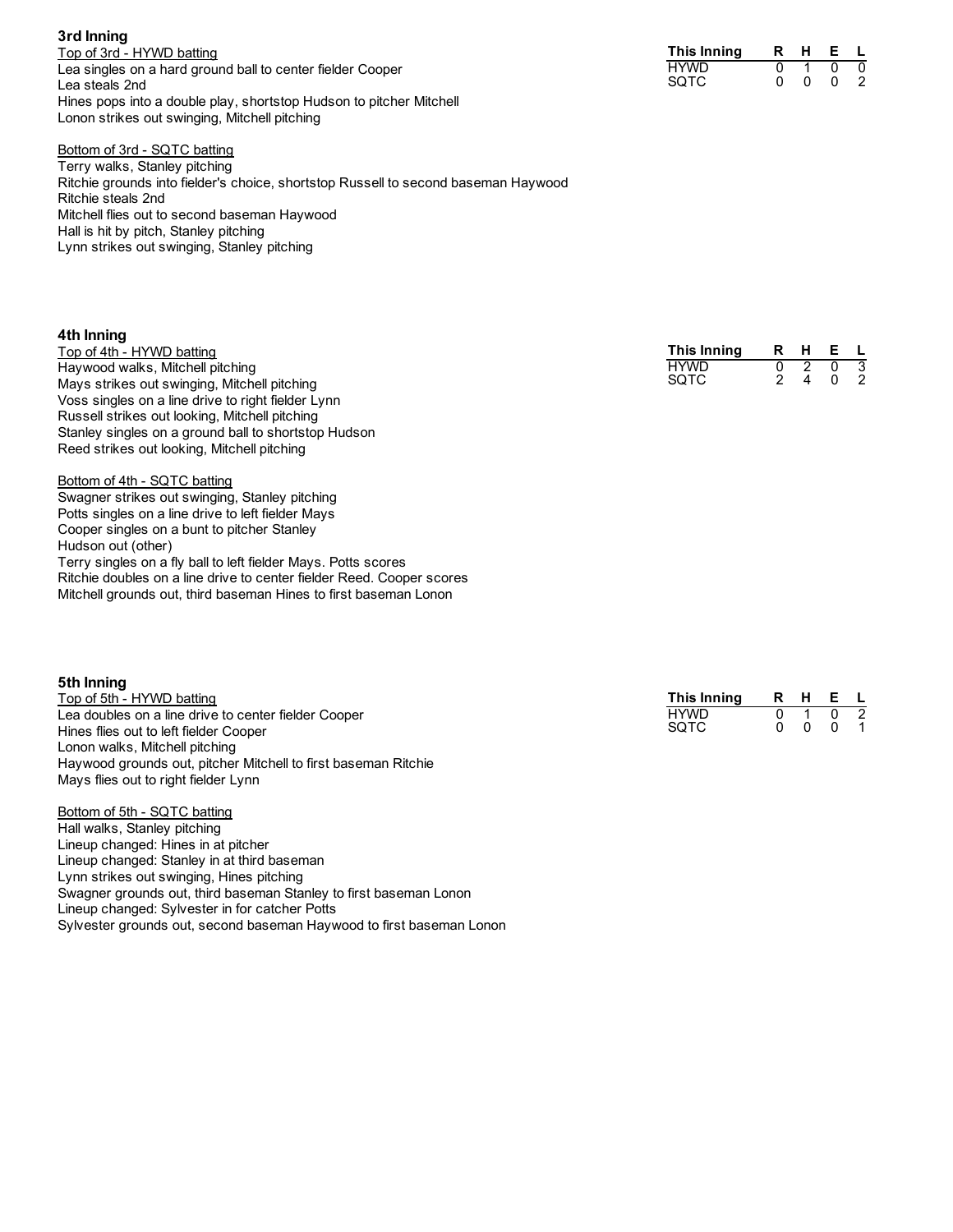Top of 3rd - HYWD batting Lea singles on a hard ground ball to center fielder Cooper Lea steals 2nd Hines pops into a double play, shortstop Hudson to pitcher Mitchell Lonon strikes out swinging, Mitchell pitching

#### Bottom of 3rd - SQTC batting

Terry walks, Stanley pitching Ritchie grounds into fielder's choice, shortstop Russell to second baseman Haywood Ritchie steals 2nd Mitchell flies out to second baseman Haywood Hall is hit by pitch, Stanley pitching Lynn strikes out swinging, Stanley pitching

#### **4th Inning**

**3rd Inning**

Top of 4th - HYWD batting Haywood walks, Mitchell pitching Mays strikes out swinging, Mitchell pitching Voss singles on a line drive to right fielder Lynn Russell strikes out looking, Mitchell pitching Stanley singles on a ground ball to shortstop Hudson Reed strikes out looking, Mitchell pitching

Bottom of 4th - SQTC batting Swagner strikes out swinging, Stanley pitching Potts singles on a line drive to left fielder Mays Cooper singles on a bunt to pitcher Stanley Hudson out (other) Terry singles on a fly ball to left fielder Mays. Potts scores Ritchie doubles on a line drive to center fielder Reed. Cooper scores Mitchell grounds out, third baseman Hines to first baseman Lonon

#### **5th Inning**

Top of 5th - HYWD batting Lea doubles on a line drive to center fielder Cooper Hines flies out to left fielder Cooper Lonon walks, Mitchell pitching Haywood grounds out, pitcher Mitchell to first baseman Ritchie Mays flies out to right fielder Lynn

Bottom of 5th - SQTC batting Hall walks, Stanley pitching Lineup changed: Hines in at pitcher Lineup changed: Stanley in at third baseman Lynn strikes out swinging, Hines pitching Swagner grounds out, third baseman Stanley to first baseman Lonon Lineup changed: Sylvester in for catcher Potts

Sylvester grounds out, second baseman Haywood to first baseman Lonon

| This Inning | R | н | F |   |
|-------------|---|---|---|---|
| HYWD        |   |   |   | U |
| SQTC        |   | n |   |   |

| This Innina | н | Е |   |
|-------------|---|---|---|
| HYWD        |   | O | 3 |
| SOTC        |   | n |   |

| This Inning | R | н | F |  |
|-------------|---|---|---|--|
| HYWD        |   |   |   |  |
| SQTC        |   | n |   |  |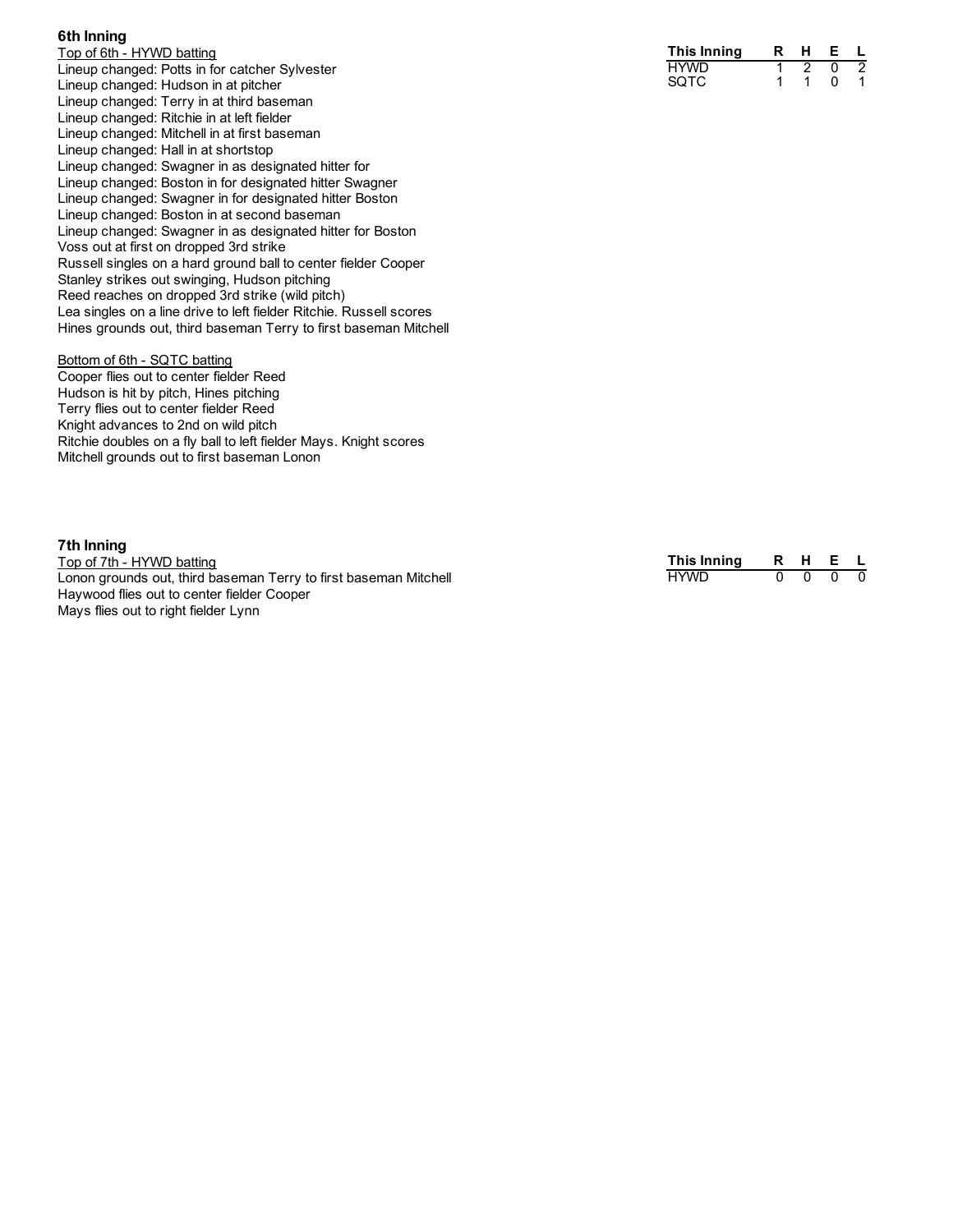#### **6 t h I n n i n g**

Top of 6th - HYWD batting Lineup changed: Potts in for catcher Sylvester Lineup changed: Hudson in at pitcher Lineup changed: Terry in at third baseman Lineup changed: Ritchie in at left fielder Lineup changed: Mitchell in at first baseman Lineup changed: Hall in at shortstop Lineup changed: Swagner in as designated hitter for Lineup changed: Boston in for designated hitter Swagner Lineup changed: Swagner in for designated hitter Boston Lineup changed: Boston in at second baseman Lineup changed: Swagner in as designated hitter for Boston Voss out at first on dropped 3rd strike Russell singles on a hard ground ball to center fielder Cooper Stanley strikes out swinging, Hudson pitching Reed reaches on dropped 3rd strike (wild pitch) Lea singles on a line drive to left fielder Ritchie. Russell scores Hines grounds out, third baseman Terry to first baseman Mitchell

#### Bottom of 6th - SQTC batting

Cooper flies out to center fielder Reed Hudson is hit by pitch, Hines pitching Terry flies out to center fielder Reed Knight advances to 2nd on wild pitch Ritchie doubles on a fly ball to left fielder Mays. Knight scores Mitchell grounds out to first baseman Lonon

#### **7 t h I n n i n g**

Top of 7th - HYWD batting Lonon grounds out, third baseman Terry to first baseman Mitchell Haywood flies out to center fielder Cooper Mays flies out to right fielder Lynn

| This Innina | R | н | F |  |
|-------------|---|---|---|--|
| HYWD        |   |   |   |  |
| SQTC        |   |   |   |  |

| This Innina |  |  |
|-------------|--|--|
| <b>HYWD</b> |  |  |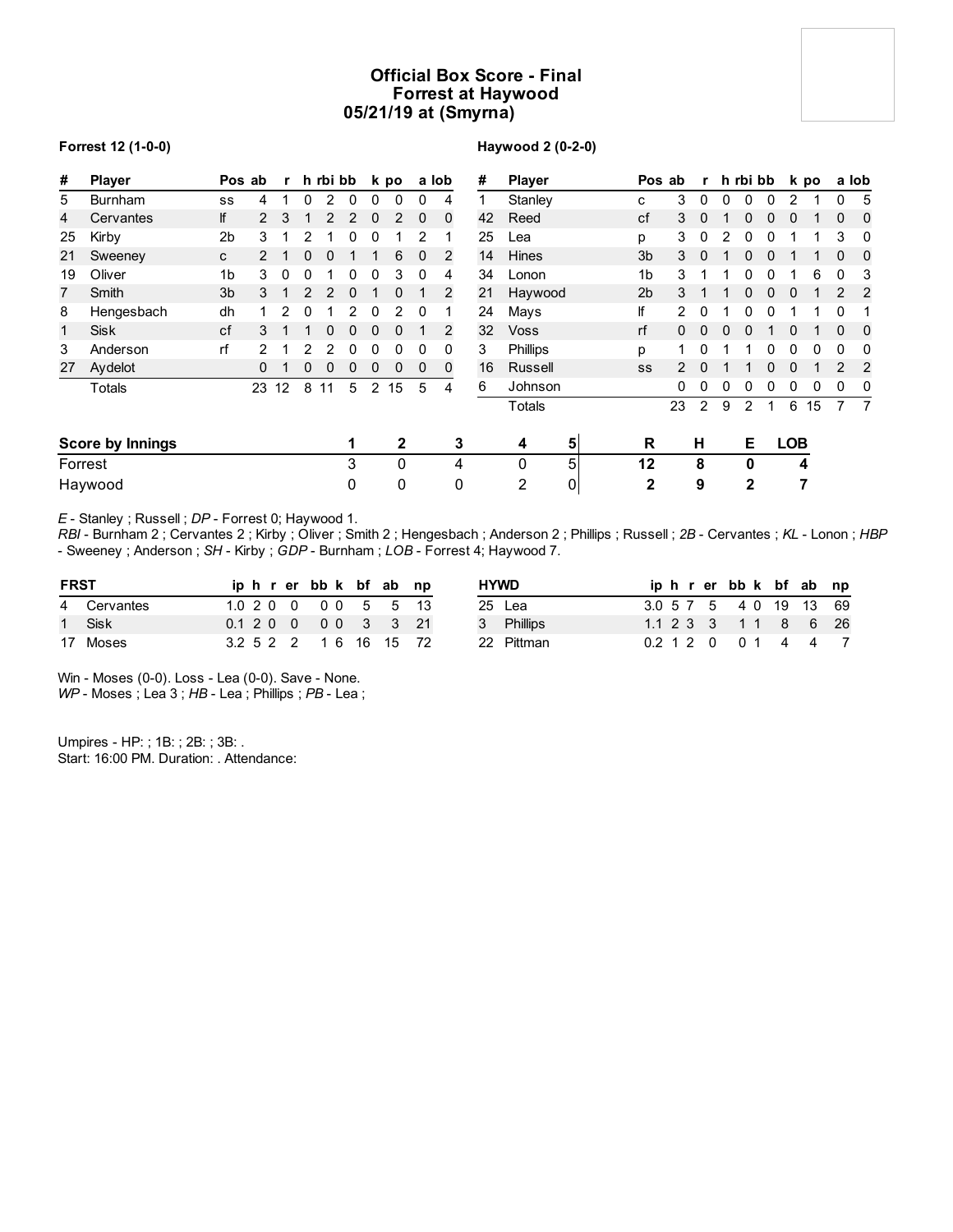## **Official Box Score - Final Forrest at Haywood 05/21/19 at (Smyrna)**

#### **Forrest 12 (1-0-0)**

**Haywood 2 (0-2-0)**

| #            | <b>Player</b>           | Pos ab         |               | $\mathbf{r}$ |   | h rbi bb |              |                | k po         |          | a lob       | #  | <b>Player</b> |                | Pos ab         |    |              | r h rbi bb |               |   |            | k po |                | a lob          |
|--------------|-------------------------|----------------|---------------|--------------|---|----------|--------------|----------------|--------------|----------|-------------|----|---------------|----------------|----------------|----|--------------|------------|---------------|---|------------|------|----------------|----------------|
| 5            | <b>Burnham</b>          | SS             | 4             |              | 0 | 2        | $\mathbf{0}$ | $\Omega$       | $\Omega$     | 0        | 4           |    | Stanley       |                | C              | 3  | $\mathbf{0}$ | $\Omega$   | 0             | 0 | 2          |      | 0              | 5              |
| 4            | Cervantes               | lf             | $\mathcal{P}$ | 3            |   | 2        | 2            | 0              | 2            | $\Omega$ | $\mathbf 0$ | 42 | Reed          |                | cf             | 3  | $\Omega$     |            |               |   | 0          |      | $\Omega$       | 0              |
| 25           | Kirby                   | 2 <sub>b</sub> | 3             |              | 2 |          | 0            | 0              |              | 2        |             | 25 | Lea           |                | p              | 3  | 0            |            |               |   |            |      | 3              | 0              |
| 21           | Sweeney                 | C              |               |              | 0 | 0        |              |                | 6            | $\Omega$ | 2           | 14 | <b>Hines</b>  |                | 3b             | 3  | $\Omega$     |            |               |   |            |      |                | 0              |
| 19           | Oliver                  | 1b             | 3             | 0            | 0 |          | 0            | 0              | 3            | 0        | 4           | 34 | Lonon         |                | 1b             | 3  |              |            |               |   |            | 6    | 0              | 3              |
| 7            | Smith                   | 3 <sub>b</sub> | 3             |              | 2 | 2        | 0            |                | $\mathbf{0}$ |          | 2           | 21 | Haywood       |                | 2 <sub>b</sub> | 3  |              |            | 0             | 0 | 0          |      | 2              | 2              |
| 8            | Hengesbach              | dh             |               | 2            | 0 |          | 2            | 0              | 2            | 0        |             | 24 | Mays          |                | If             | 2  | 0            |            | o             | 0 |            |      | $\Omega$       |                |
| $\mathbf{1}$ | <b>Sisk</b>             | cf             | 3             |              |   | 0        | 0            | $\Omega$       | $\Omega$     |          | 2           | 32 | <b>Voss</b>   |                | rf             | 0  | $\Omega$     |            |               |   | 0          |      | $\Omega$       | 0              |
| 3            | Anderson                | rf             |               |              |   | 2        | 0            | 0              | 0            | 0        | $\Omega$    | 3  | Phillips      |                | p              |    | 0            |            |               | 0 | 0          | 0    | $\Omega$       | $\Omega$       |
| 27           | Aydelot                 |                | 0             |              | 0 | 0        | 0            | 0              | $\mathbf{0}$ | 0        | 0           | 16 | Russell       |                | SS             | 2  | $\Omega$     |            |               |   | 0          |      | 2              | 2              |
|              | Totals                  |                | 23            | 12           | 8 | 11       | 5            | $\overline{2}$ | 15           | 5        | 4           | 6  | Johnson       |                |                | 0  | 0            | 0          | $\Omega$      | 0 | 0          | 0    | 0              | 0              |
|              |                         |                |               |              |   |          |              |                |              |          |             |    | Totals        |                |                | 23 | 2            | 9          | $\mathcal{P}$ | 1 | 6          | 15   | $\overline{7}$ | $\overline{7}$ |
|              | <b>Score by Innings</b> |                |               |              |   |          |              |                | $\mathbf{2}$ |          | 3           |    | 4             | 5 <sub>l</sub> | R              |    | н            |            | Е             |   | <b>LOB</b> |      |                |                |
| Forrest      |                         |                |               |              |   |          | 3            |                | 0            |          | 4           |    | 0             | 5 <sup>1</sup> | 12             |    | 8            |            | 0             |   |            | 4    |                |                |
|              | Haywood                 |                |               |              |   |          | 0            |                | 0            |          | 0           |    | 2             | $\overline{0}$ | $\mathbf{2}$   |    | 9            |            | $\mathbf{2}$  |   |            | 7    |                |                |

*E* - Stanley ; Russell ; *DP* - Forrest 0; Haywood 1.

*RBI* - Burnham 2 ; Cervantes 2 ; Kirby ; Oliver ; Smith 2 ; Hengesbach ; Anderson 2 ; Phillips ; Russell ; *2B* - Cervantes ; *KL* - Lonon ; *HBP* - Sweeney ; Anderson ; *SH* - Kirby ; *GDP* - Burnham ; *LOB* - Forrest 4; Haywood 7.

| <b>FRST</b> |             |  |  | iphrerbbk bfab np      |  |  | <b>HYWD</b> |  |  | iphrerbbk bfab np      |  |  |
|-------------|-------------|--|--|------------------------|--|--|-------------|--|--|------------------------|--|--|
|             | 4 Cervantes |  |  | 1.0 2 0 0 0 0 5 5 13   |  |  | 25 Lea      |  |  | 3.0 5 7 5 4 0 19 13 69 |  |  |
|             | 1 Sisk      |  |  | 0.1 2 0 0 0 0 3 3 21   |  |  | 3 Phillips  |  |  | 1.1 2 3 3 1 1 8 6 26   |  |  |
|             | 17 Moses    |  |  | 3.2 5 2 2 1 6 16 15 72 |  |  | 22 Pittman  |  |  | 0.2 1 2 0 0 1 4 4 7    |  |  |

Win - Moses (0-0). Loss - Lea (0-0). Save - None. *WP* - Moses ; Lea 3 ; *HB* - Lea ; Phillips ; *PB* - Lea ;

Umpires - HP: ; 1B: ; 2B: ; 3B: . Start: 16:00 PM. Duration: . Attendance: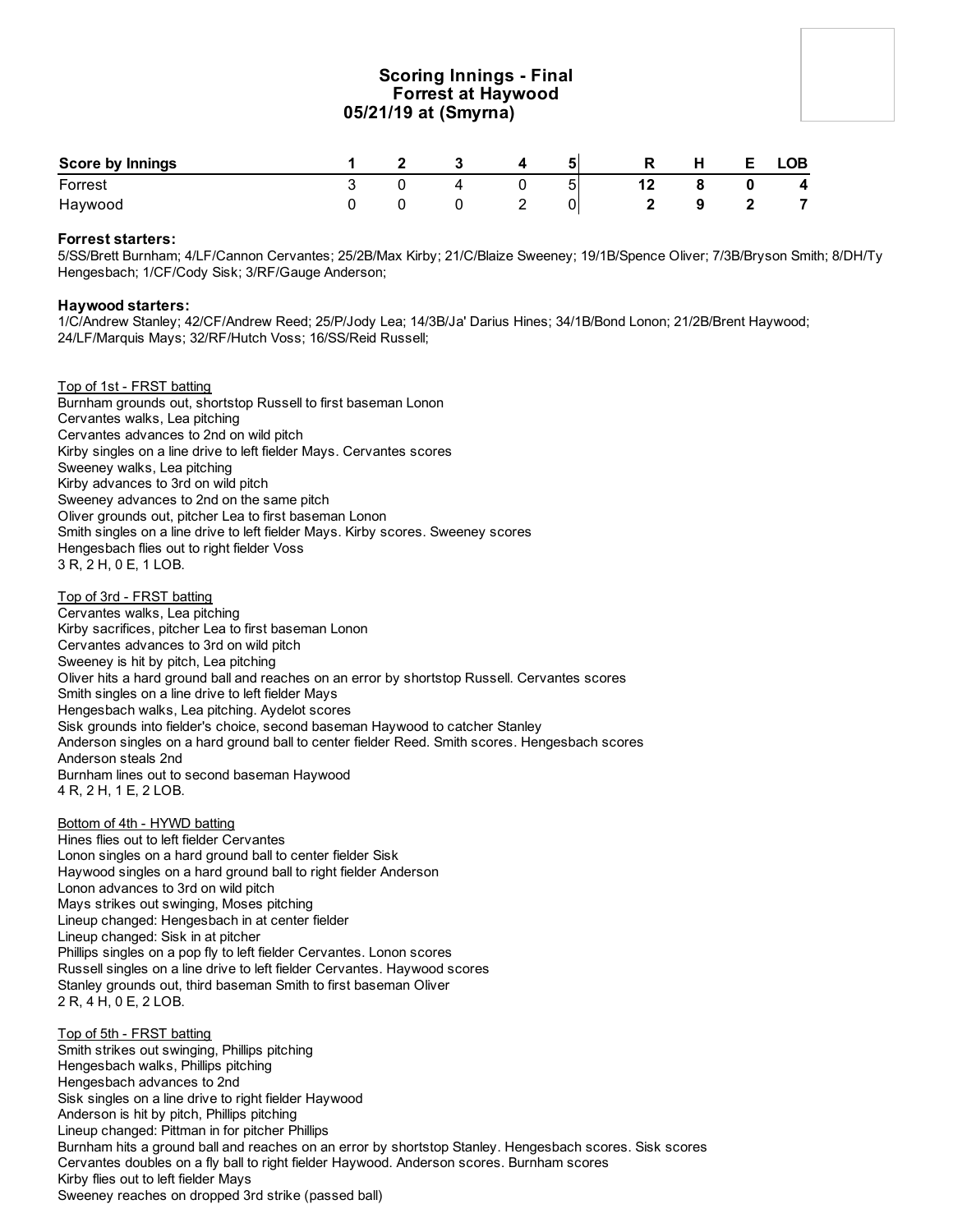## **Scoring Innings - Final Forrest at Haywood 05/21/19 at (Smyrna)**

| <b>Score by Innings</b> |  |   |   | P   | н | <b>LOB</b> |
|-------------------------|--|---|---|-----|---|------------|
| Forrest                 |  |   | ັ | . . |   | 4          |
| Haywood                 |  | - |   |     |   | -          |

#### **Forrest starters:**

5/SS/Brett Burnham; 4/LF/Cannon Cervantes; 25/2B/Max Kirby; 21/C/Blaize Sweeney; 19/1B/Spence Oliver; 7/3B/Bryson Smith; 8/DH/Ty Hengesbach; 1/CF/Cody Sisk; 3/RF/Gauge Anderson;

#### **Haywood starters:**

1/C/Andrew Stanley; 42/CF/Andrew Reed; 25/P/Jody Lea; 14/3B/Ja' Darius Hines; 34/1B/Bond Lonon; 21/2B/Brent Haywood; 24/LF/Marquis Mays; 32/RF/Hutch Voss; 16/SS/Reid Russell;

Top of 1st - FRST batting Burnham grounds out, shortstop Russell to first baseman Lonon Cervantes walks, Lea pitching Cervantes advances to 2nd on wild pitch Kirby singles on a line drive to left fielder Mays. Cervantes scores Sweeney walks, Lea pitching Kirby advances to 3rd on wild pitch Sweeney advances to 2nd on the same pitch Oliver grounds out, pitcher Lea to first baseman Lonon Smith singles on a line drive to left fielder Mays. Kirby scores. Sweeney scores Hengesbach flies out to right fielder Voss 3 R, 2 H, 0 E, 1 LOB.

Top of 3rd - FRST batting Cervantes walks, Lea pitching Kirby sacrifices, pitcher Lea to first baseman Lonon Cervantes advances to 3rd on wild pitch Sweeney is hit by pitch, Lea pitching Oliver hits a hard ground ball and reaches on an error by shortstop Russell. Cervantes scores Smith singles on a line drive to left fielder Mays Hengesbach walks, Lea pitching. Aydelot scores Sisk grounds into fielder's choice, second baseman Haywood to catcher Stanley Anderson singles on a hard ground ball to center fielder Reed. Smith scores. Hengesbach scores Anderson steals 2nd Burnham lines out to second baseman Haywood 4 R, 2 H, 1 E, 2 LOB.

#### Bottom of 4th - HYWD batting

Hines flies out to left fielder Cervantes Lonon singles on a hard ground ball to center fielder Sisk Haywood singles on a hard ground ball to right fielder Anderson Lonon advances to 3rd on wild pitch Mays strikes out swinging, Moses pitching Lineup changed: Hengesbach in at center fielder Lineup changed: Sisk in at pitcher Phillips singles on a pop fly to left fielder Cervantes. Lonon scores Russell singles on a line drive to left fielder Cervantes. Haywood scores Stanley grounds out, third baseman Smith to first baseman Oliver 2 R, 4 H, 0 E, 2 LOB.

Top of 5th - FRST batting Smith strikes out swinging, Phillips pitching Hengesbach walks, Phillips pitching Hengesbach advances to 2nd Sisk singles on a line drive to right fielder Haywood Anderson is hit by pitch, Phillips pitching Lineup changed: Pittman in for pitcher Phillips Burnham hits a ground ball and reaches on an error by shortstop Stanley. Hengesbach scores. Sisk scores Cervantes doubles on a fly ball to right fielder Haywood. Anderson scores. Burnham scores Kirby flies out to left fielder Mays Sweeney reaches on dropped 3rd strike (passed ball)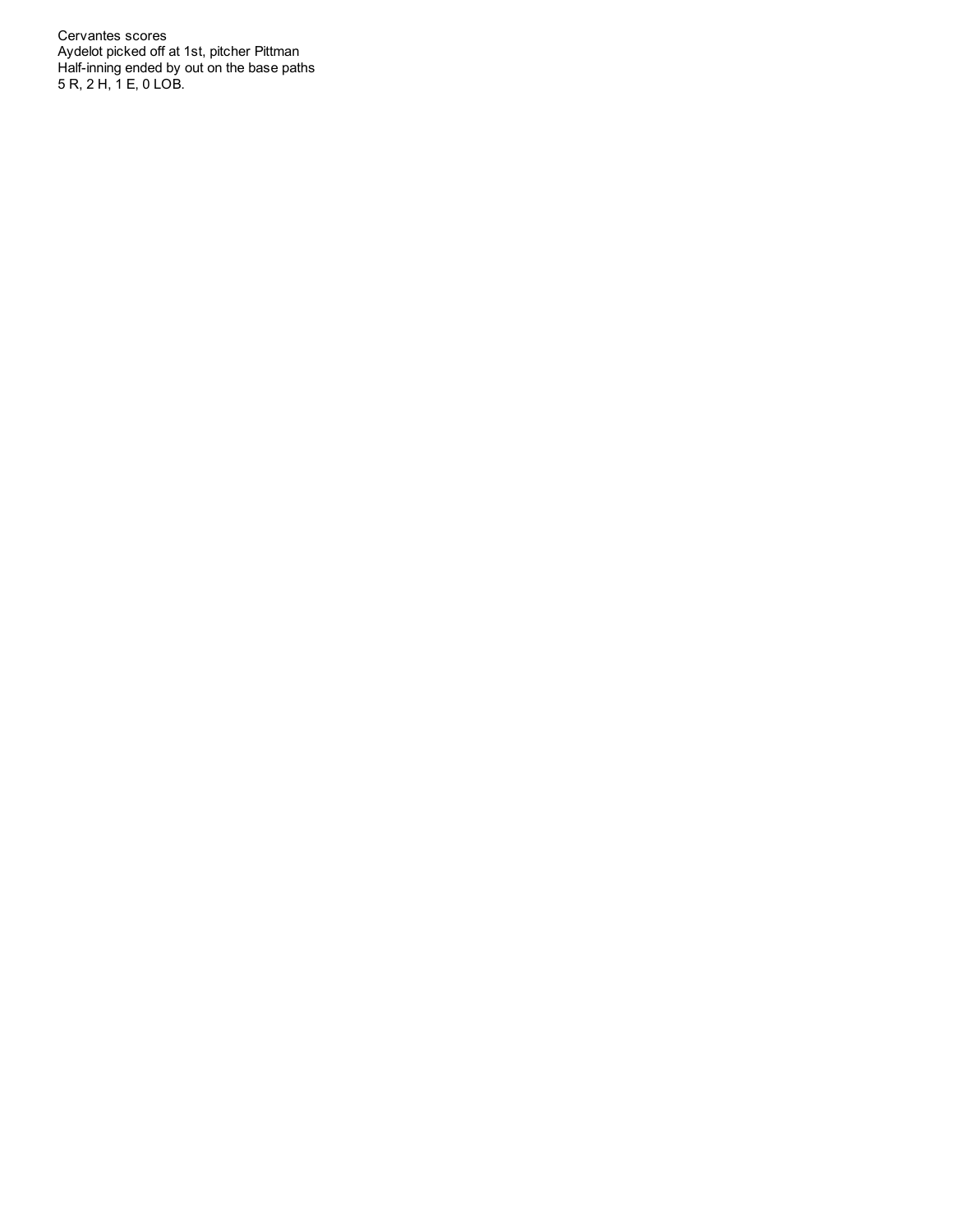Cervantes scores Aydelot picked off at 1st, pitcher Pittman Half-inning ended by out on the base paths 5 R, 2 H, 1 E, 0 LOB.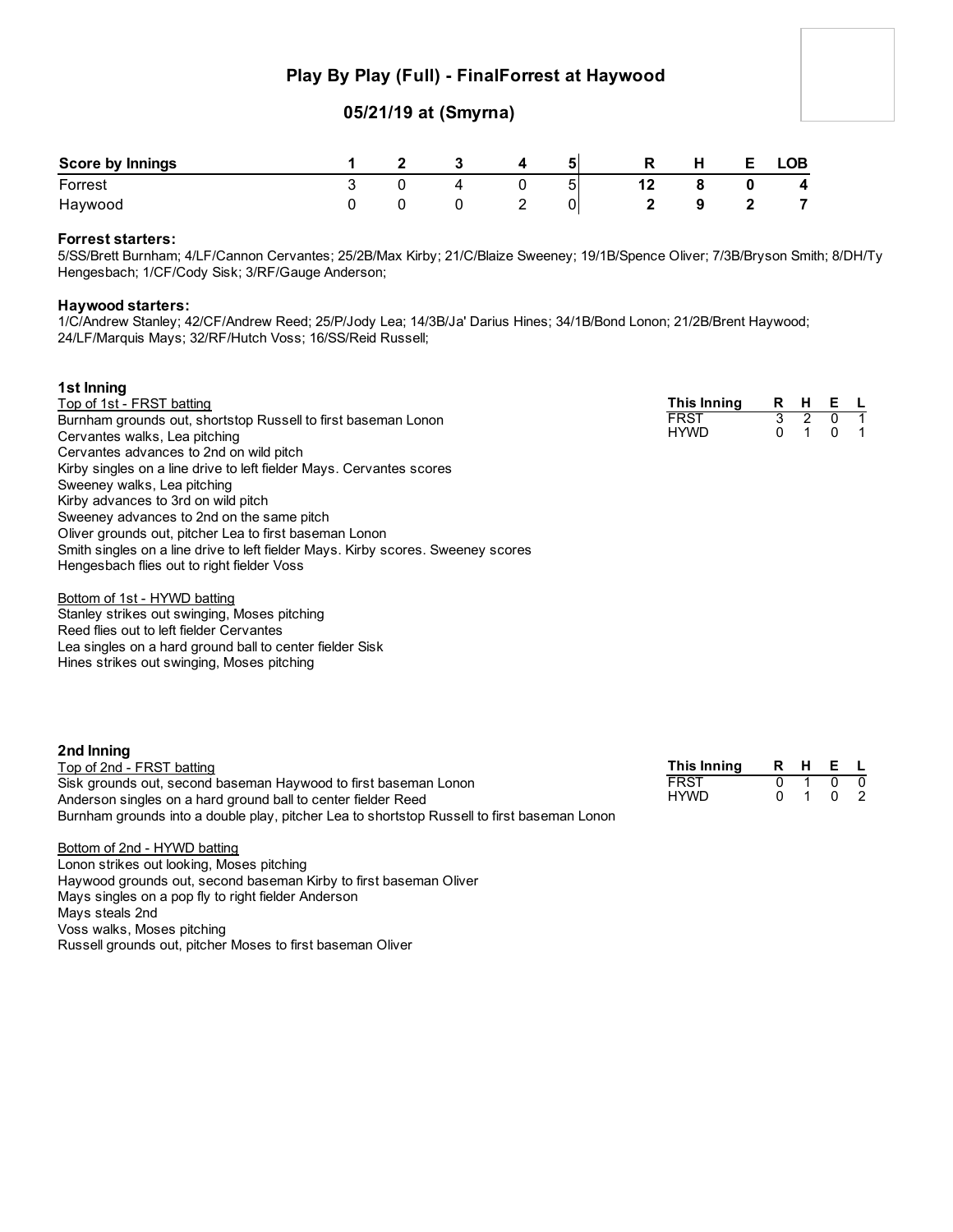## **Play By Play (Full) - FinalForrest at Haywood**

### **05/21/19 at (Smyrna)**

| <b>Score by Innings</b> |  |              | 51 | R | H | <b>LOB</b> |
|-------------------------|--|--------------|----|---|---|------------|
| Forrest                 |  |              |    |   | 8 | 4          |
| Haywood                 |  | $\mathbf{Z}$ |    |   |   |            |

#### **Forrest starters:**

5/SS/Brett Burnham; 4/LF/Cannon Cervantes; 25/2B/Max Kirby; 21/C/Blaize Sweeney; 19/1B/Spence Oliver; 7/3B/Bryson Smith; 8/DH/Ty Hengesbach; 1/CF/Cody Sisk; 3/RF/Gauge Anderson;

#### **Haywood starters:**

1/C/Andrew Stanley; 42/CF/Andrew Reed; 25/P/Jody Lea; 14/3B/Ja' Darius Hines; 34/1B/Bond Lonon; 21/2B/Brent Haywood; 24/LF/Marquis Mays; 32/RF/Hutch Voss; 16/SS/Reid Russell;

#### **1st Inning**

| Top of 1st - FRST batting                                                        | This Inning | R | н | Е. | $\sim$ 1.1     |
|----------------------------------------------------------------------------------|-------------|---|---|----|----------------|
| Burnham grounds out, shortstop Russell to first baseman Lonon                    | <b>FRST</b> |   |   |    |                |
| Cervantes walks, Lea pitching                                                    | <b>HYWD</b> |   |   | 0  | $\blacksquare$ |
| Cervantes advances to 2nd on wild pitch                                          |             |   |   |    |                |
| Kirby singles on a line drive to left fielder Mays. Cervantes scores             |             |   |   |    |                |
| Sweeney walks, Lea pitching                                                      |             |   |   |    |                |
| Kirby advances to 3rd on wild pitch                                              |             |   |   |    |                |
| Sweeney advances to 2nd on the same pitch                                        |             |   |   |    |                |
| Oliver grounds out, pitcher Lea to first baseman Lonon                           |             |   |   |    |                |
| Smith singles on a line drive to left fielder Mays. Kirby scores. Sweeney scores |             |   |   |    |                |
| Hengesbach flies out to right fielder Voss                                       |             |   |   |    |                |

#### Bottom of 1st - HYWD batting

Stanley strikes out swinging, Moses pitching Reed flies out to left fielder Cervantes Lea singles on a hard ground ball to center fielder Sisk Hines strikes out swinging, Moses pitching

| 2nd Inning                                                                                  |             |         |  |
|---------------------------------------------------------------------------------------------|-------------|---------|--|
| Top of 2nd - FRST batting                                                                   | This Inning | R H E L |  |
| Sisk grounds out, second baseman Haywood to first baseman Lonon                             | <b>FRST</b> | 0100    |  |
| Anderson singles on a hard ground ball to center fielder Reed                               | <b>HYWD</b> | 0 1 0 2 |  |
| Burnham grounds into a double play, pitcher Lea to shortstop Russell to first baseman Lonon |             |         |  |

Bottom of 2nd - HYWD batting Lonon strikes out looking, Moses pitching Haywood grounds out, second baseman Kirby to first baseman Oliver Mays singles on a pop fly to right fielder Anderson Mays steals 2nd Voss walks, Moses pitching Russell grounds out, pitcher Moses to first baseman Oliver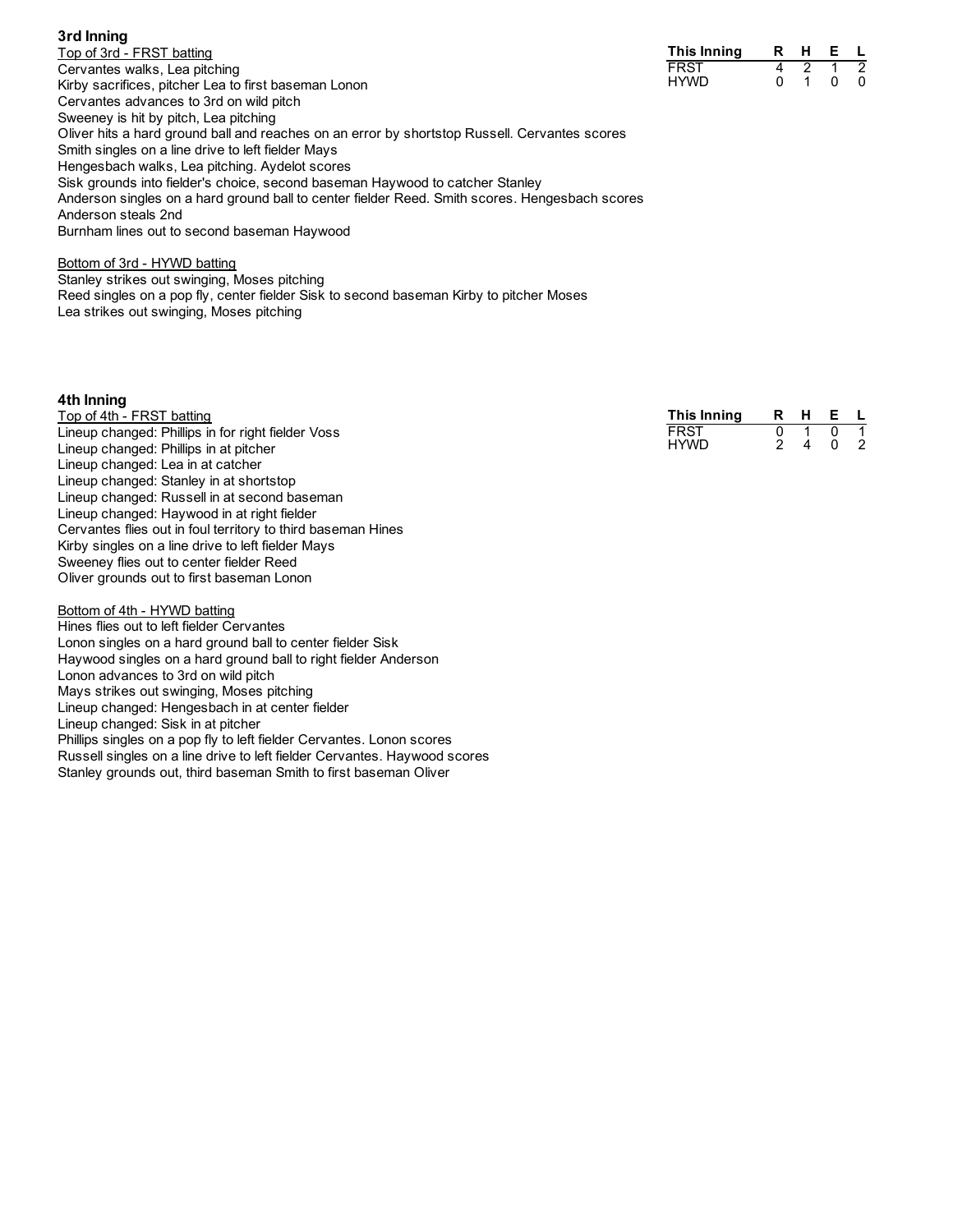#### **3rd Inning**

Top of 3rd - FRST batting Cervantes walks, Lea pitching Kirby sacrifices, pitcher Lea to first baseman Lonon Cervantes advances to 3rd on wild pitch Sweeney is hit by pitch, Lea pitching Oliver hits a hard ground ball and reaches on an error by shortstop Russell. Cervantes scores Smith singles on a line drive to left fielder Mays Hengesbach walks, Lea pitching. Aydelot scores Sisk grounds into fielder's choice, second baseman Haywood to catcher Stanley Anderson singles on a hard ground ball to center fielder Reed. Smith scores. Hengesbach scores Anderson steals 2nd Burnham lines out to second baseman Haywood

#### Bottom of 3rd - HYWD batting

Stanley strikes out swinging, Moses pitching Reed singles on a pop fly, center fielder Sisk to second baseman Kirby to pitcher Moses Lea strikes out swinging, Moses pitching

#### **4th Inning**

| Top of 4th - FRST batting                                    | This Inning | R | н | Е. |   |
|--------------------------------------------------------------|-------------|---|---|----|---|
| Lineup changed: Phillips in for right fielder Voss           | <b>FRST</b> |   |   |    |   |
| Lineup changed: Phillips in at pitcher                       | <b>HYWD</b> |   | 4 |    | 2 |
| Lineup changed: Lea in at catcher                            |             |   |   |    |   |
| Lineup changed: Stanley in at shortstop                      |             |   |   |    |   |
| Lineup changed: Russell in at second baseman                 |             |   |   |    |   |
| Lineup changed: Haywood in at right fielder                  |             |   |   |    |   |
| Cervantes flies out in foul territory to third baseman Hines |             |   |   |    |   |
| Kirby singles on a line drive to left fielder Mays           |             |   |   |    |   |

Sweeney flies out to center fielder Reed Oliver grounds out to first baseman Lonon

Bottom of 4th - HYWD batting Hines flies out to left fielder Cervantes Lonon singles on a hard ground ball to center fielder Sisk Haywood singles on a hard ground ball to right fielder Anderson Lonon advances to 3rd on wild pitch Mays strikes out swinging, Moses pitching Lineup changed: Hengesbach in at center fielder Lineup changed: Sisk in at pitcher Phillips singles on a pop fly to left fielder Cervantes. Lonon scores Russell singles on a line drive to left fielder Cervantes. Haywood scores Stanley grounds out, third baseman Smith to first baseman Oliver

| This Inning | R | н | F |  |
|-------------|---|---|---|--|
| FRST        |   |   |   |  |
| HYWD        |   |   |   |  |